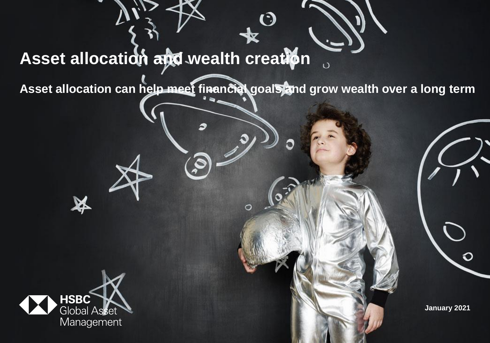# **Asset allocation and wealth creation**

Asset allocation can help meet financial goals and grow wealth over a long term

O

 $\bigstar$ 



X

**January 2021**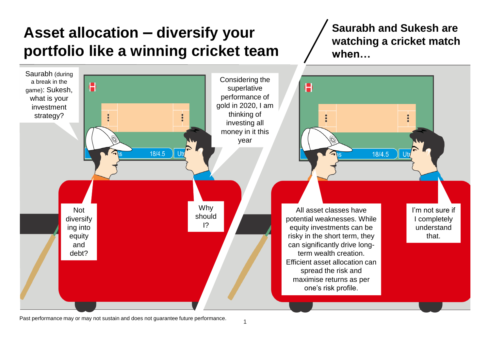## **Asset allocation – diversify your portfolio like a winning cricket team**

**Saurabh and Sukesh are watching a cricket match when…**

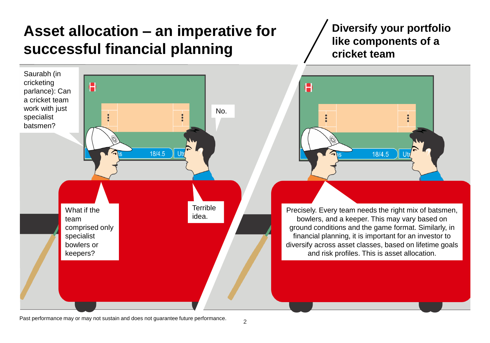## **Asset allocation – an imperative for successful financial planning**

Saurabh (in cricketing A parlance): Can a cricket team work with just No.  $\ddot{\cdot}$ specialist batsmen?  $18/4.5$ **Terrible** What if the idea. team comprised only specialist bowlers or keepers?

**Diversify your portfolio like components of a cricket team**



Precisely. Every team needs the right mix of batsmen, bowlers, and a keeper. This may vary based on ground conditions and the game format. Similarly, in financial planning, it is important for an investor to diversify across asset classes, based on lifetime goals and risk profiles. This is asset allocation.

Past performance may or may not sustain and does not guarantee future performance.

 $\overline{2}$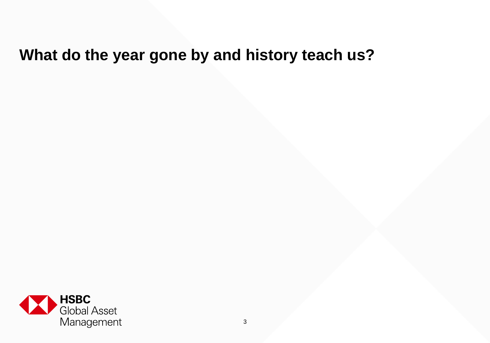## **What do the year gone by and history teach us?**

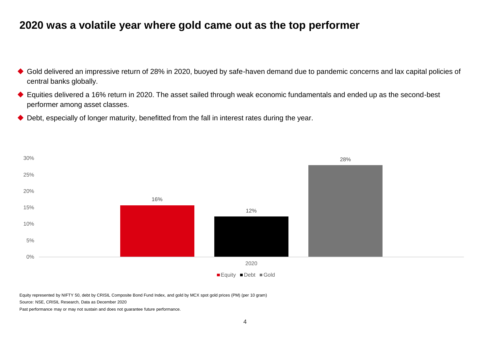## **2020 was a volatile year where gold came out as the top performer**

- ◆ Gold delivered an impressive return of 28% in 2020, buoyed by safe-haven demand due to pandemic concerns and lax capital policies of central banks globally.
- ◆ Equities delivered a 16% return in 2020. The asset sailed through weak economic fundamentals and ended up as the second-best performer among asset classes.
- ◆ Debt, especially of longer maturity, benefitted from the fall in interest rates during the year.



Equity represented by NIFTY 50, debt by CRISIL Composite Bond Fund Index, and gold by MCX spot gold prices (PM) (per 10 gram)

Source: NSE, CRISIL Research, Data as December 2020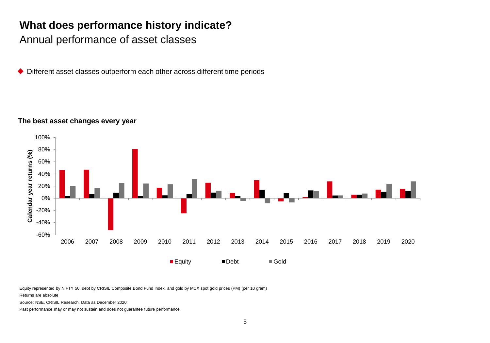## **What does performance history indicate?**

Annual performance of asset classes

Different asset classes outperform each other across different time periods

#### **The best asset changes every year**



Equity represented by NIFTY 50, debt by CRISIL Composite Bond Fund Index, and gold by MCX spot gold prices (PM) (per 10 gram)

Returns are absolute

Source: NSE, CRISIL Research, Data as December 2020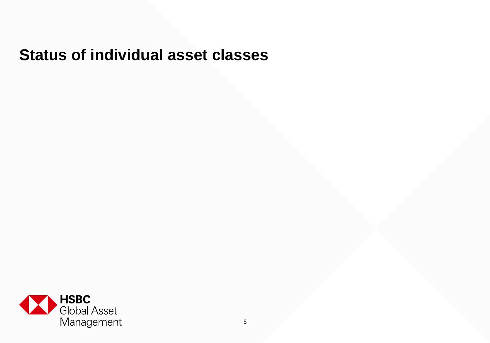## **Status of individual asset classes**

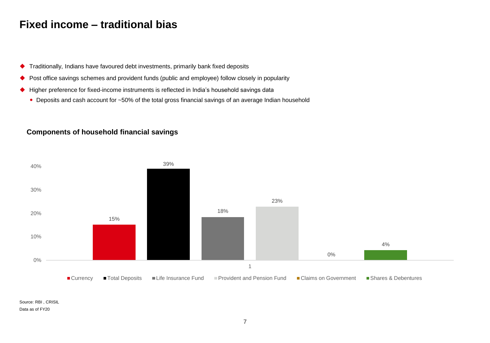### **Fixed income – traditional bias**

- Traditionally, Indians have favoured debt investments, primarily bank fixed deposits
- ◆ Post office savings schemes and provident funds (public and employee) follow closely in popularity
- Higher preference for fixed-income instruments is reflected in India's household savings data
	- Deposits and cash account for ~50% of the total gross financial savings of an average Indian household

#### **Components of household financial savings**



Source: RBI , CRISIL Data as of FY20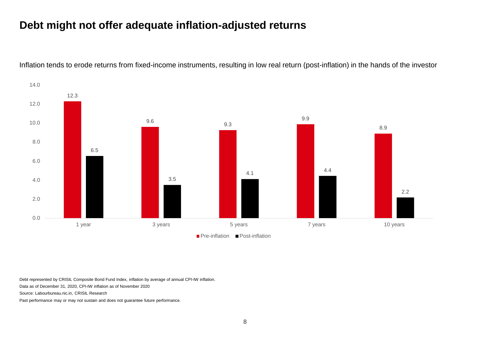## **Debt might not offer adequate inflation-adjusted returns**



Inflation tends to erode returns from fixed-income instruments, resulting in low real return (post-inflation) in the hands of the investor

Debt represented by CRISIL Composite Bond Fund Index, inflation by average of annual CPI-IW inflation.

Data as of December 31, 2020, CPI-IW inflation as of November 2020

Source: Labourbureau.nic.in, CRISIL Research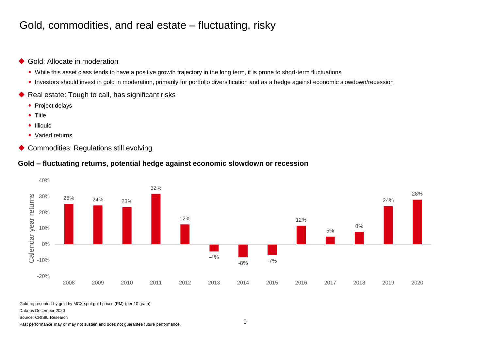## Gold, commodities, and real estate – fluctuating, risky

- ◆ Gold: Allocate in moderation
	- While this asset class tends to have a positive growth trajectory in the long term, it is prone to short-term fluctuations
	- Investors should invest in gold in moderation, primarily for portfolio diversification and as a hedge against economic slowdown/recession
- ◆ Real estate: Tough to call, has significant risks
	- Project delays
	- Title
	- Illiquid
	- Varied returns
- ◆ Commodities: Regulations still evolving

#### **Gold – fluctuating returns, potential hedge against economic slowdown or recession**



Gold represented by gold by MCX spot gold prices (PM) (per 10 gram)

Data as December 2020

#### Source: CRISIL Research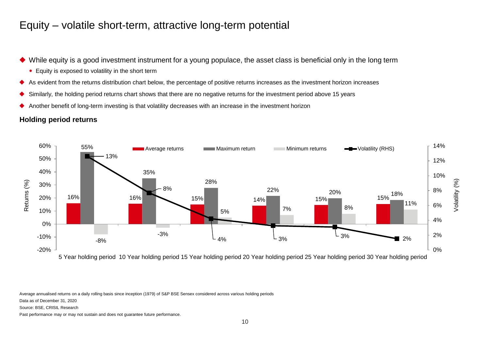### Equity – volatile short-term, attractive long-term potential

- While equity is a good investment instrument for a young populace, the asset class is beneficial only in the long term
	- Equity is exposed to volatility in the short term
- As evident from the returns distribution chart below, the percentage of positive returns increases as the investment horizon increases
- ◆ Similarly, the holding period returns chart shows that there are no negative returns for the investment period above 15 years
- Another benefit of long-term investing is that volatility decreases with an increase in the investment horizon

#### **Holding period returns**



Average annualised returns on a daily rolling basis since inception (1979) of S&P BSE Sensex considered across various holding periods

Data as of December 31, 2020

Source: BSE, CRISIL Research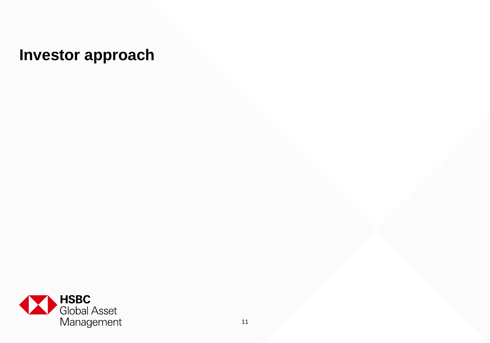## **Investor approach**

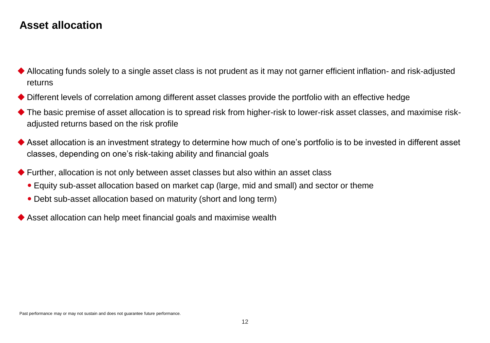## **Asset allocation**

- Allocating funds solely to a single asset class is not prudent as it may not garner efficient inflation- and risk-adjusted returns
- Different levels of correlation among different asset classes provide the portfolio with an effective hedge
- ◆ The basic premise of asset allocation is to spread risk from higher-risk to lower-risk asset classes, and maximise riskadjusted returns based on the risk profile
- Asset allocation is an investment strategy to determine how much of one's portfolio is to be invested in different asset classes, depending on one's risk-taking ability and financial goals
- Further, allocation is not only between asset classes but also within an asset class
	- Equity sub-asset allocation based on market cap (large, mid and small) and sector or theme
	- Debt sub-asset allocation based on maturity (short and long term)
- Asset allocation can help meet financial goals and maximise wealth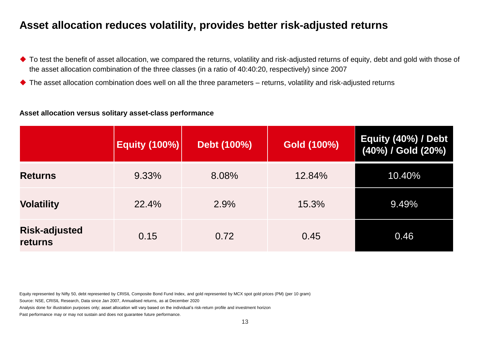## **Asset allocation reduces volatility, provides better risk-adjusted returns**

- ◆ To test the benefit of asset allocation, we compared the returns, volatility and risk-adjusted returns of equity, debt and gold with those of the asset allocation combination of the three classes (in a ratio of 40:40:20, respectively) since 2007
- ◆ The asset allocation combination does well on all the three parameters returns, volatility and risk-adjusted returns

#### **Asset allocation versus solitary asset-class performance**

|                                        | <b>Equity (100%)</b> | Debt (100%) | Gold (100%) | Equity (40%) / Debt<br>(40%) / Gold (20%) |
|----------------------------------------|----------------------|-------------|-------------|-------------------------------------------|
| <b>Returns</b>                         | 9.33%                | 8.08%       | 12.84%      | 10.40%                                    |
| <b>Volatility</b>                      | 22.4%                | 2.9%        | 15.3%       | 9.49%                                     |
| <b>Risk-adjusted</b><br><b>returns</b> | 0.15                 | 0.72        | 0.45        | 0.46                                      |

Equity represented by Nifty 50, debt represented by CRISIL Composite Bond Fund Index, and gold represented by MCX spot gold prices (PM) (per 10 gram)

Source: NSE, CRISIL Research, Data since Jan 2007, Annualised returns, as at December 2020

Analysis done for illustration purposes only; asset allocation will vary based on the individual's risk-return profile and investment horizon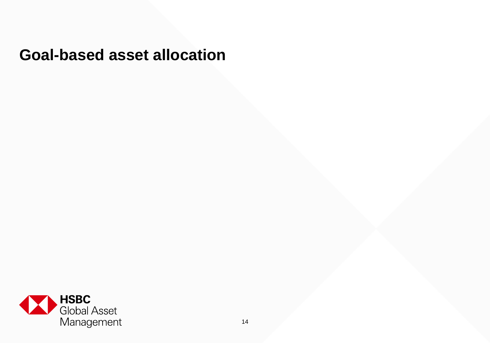## **Goal-based asset allocation**

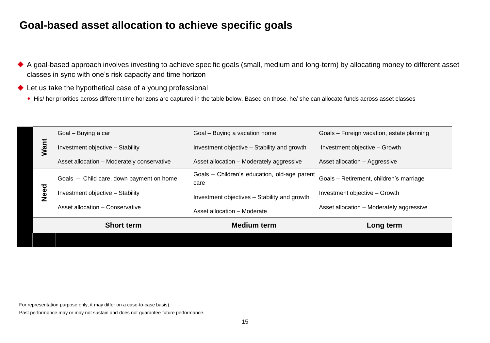## **Goal-based asset allocation to achieve specific goals**

- A goal-based approach involves investing to achieve specific goals (small, medium and long-term) by allocating money to different asset classes in sync with one's risk capacity and time horizon
- ◆ Let us take the hypothetical case of a young professional
	- His/ her priorities across different time horizons are captured in the table below. Based on those, he/ she can allocate funds across asset classes

| Want |             | Goal - Buying a car                                                                                                                                           | Goal - Buying a vacation home                        | Goals - Foreign vacation, estate planning |
|------|-------------|---------------------------------------------------------------------------------------------------------------------------------------------------------------|------------------------------------------------------|-------------------------------------------|
|      |             | Investment objective - Stability                                                                                                                              | Investment objective - Stability and growth          | Investment objective - Growth             |
|      |             | Asset allocation - Moderately conservative                                                                                                                    | Asset allocation - Moderately aggressive             | Asset allocation - Aggressive             |
|      |             | Goals - Child care, down payment on home                                                                                                                      | Goals - Children's education, old-age parent<br>care | Goals - Retirement, children's marriage   |
|      | <b>Need</b> | Investment objective - Stability                                                                                                                              | Investment objectives - Stability and growth         | Investment objective - Growth             |
|      |             | Asset allocation - Conservative                                                                                                                               | Asset allocation - Moderate                          | Asset allocation - Moderately aggressive  |
|      |             |                                                                                                                                                               | <b>Medium term</b>                                   | Long term                                 |
|      |             | <b>Short term</b>                                                                                                                                             |                                                      |                                           |
|      |             |                                                                                                                                                               |                                                      |                                           |
|      |             |                                                                                                                                                               |                                                      |                                           |
|      |             |                                                                                                                                                               |                                                      |                                           |
|      |             |                                                                                                                                                               |                                                      |                                           |
|      |             |                                                                                                                                                               |                                                      |                                           |
|      |             | For representation purpose only, it may differ on a case-to-case basis)<br>Past performance may or may not sustain and does not guarantee future performance. |                                                      |                                           |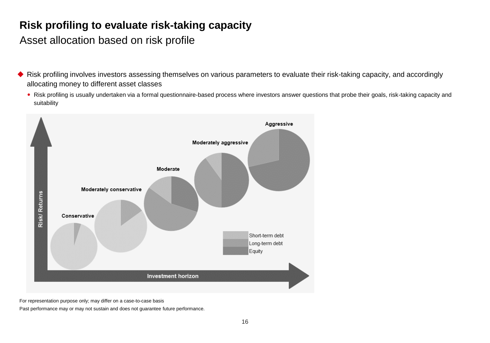## **Risk profiling to evaluate risk-taking capacity**

Asset allocation based on risk profile

- Risk profiling involves investors assessing themselves on various parameters to evaluate their risk-taking capacity, and accordingly allocating money to different asset classes
	- Risk profiling is usually undertaken via a formal questionnaire-based process where investors answer questions that probe their goals, risk-taking capacity and suitability



For representation purpose only; may differ on a case-to-case basis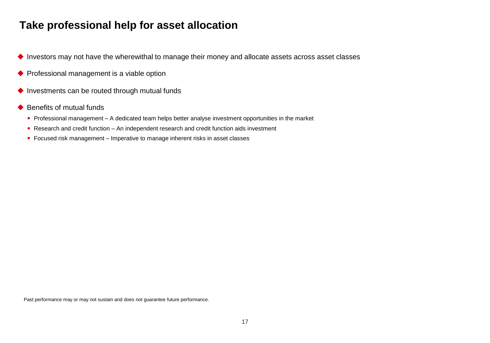## **Take professional help for asset allocation**

- ◆ Investors may not have the wherewithal to manage their money and allocate assets across asset classes
- ◆ Professional management is a viable option
- $\blacklozenge$  Investments can be routed through mutual funds
- $\blacklozenge$  Benefits of mutual funds
	- Professional management A dedicated team helps better analyse investment opportunities in the market
	- Research and credit function An independent research and credit function aids investment
	- Focused risk management Imperative to manage inherent risks in asset classes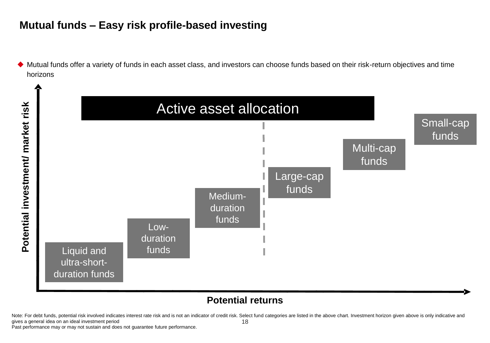## **Mutual funds – Easy risk profile-based investing**

 Mutual funds offer a variety of funds in each asset class, and investors can choose funds based on their risk-return objectives and time horizons



### **Potential returns**

18 Note: For debt funds, potential risk involved indicates interest rate risk and is not an indicator of credit risk. Select fund categories are listed in the above chart. Investment horizon given above is only indicative and gives a general idea on an ideal investment period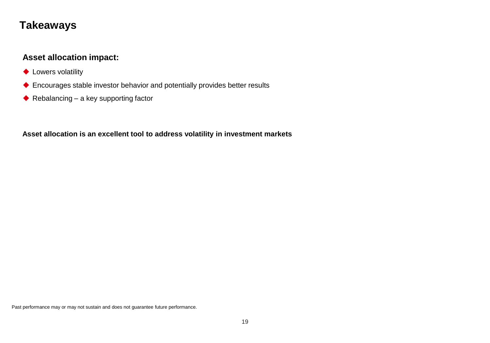## **Takeaways**

#### **Asset allocation impact:**

- ◆ Lowers volatility
- Encourages stable investor behavior and potentially provides better results
- $\blacklozenge$  Rebalancing a key supporting factor

**Asset allocation is an excellent tool to address volatility in investment markets**